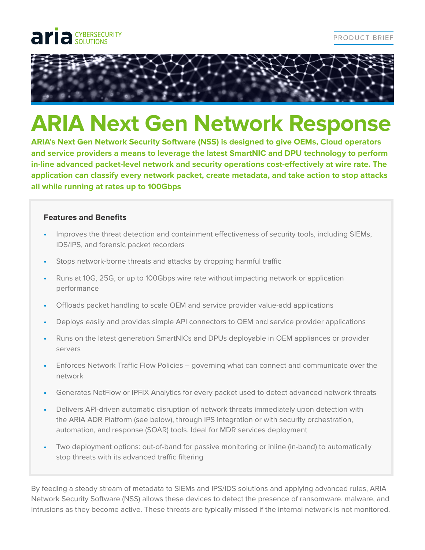



# **ARIA Next Gen Network Response**

**ARIA's Next Gen Network Security Software (NSS) is designed to give OEMs, Cloud operators and service providers a means to leverage the latest SmartNIC and DPU technology to perform in-line advanced packet-level network and security operations cost-effectively at wire rate. The application can classify every network packet, create metadata, and take action to stop attacks all while running at rates up to 100Gbps**

## **Features and Benefits**

- **•** Improves the threat detection and containment effectiveness of security tools, including SIEMs, IDS/IPS, and forensic packet recorders
- **•** Stops network-borne threats and attacks by dropping harmful traffic
- **•** Runs at 10G, 25G, or up to 100Gbps wire rate without impacting network or application performance
- **•** Offloads packet handling to scale OEM and service provider value-add applications
- **•** Deploys easily and provides simple API connectors to OEM and service provider applications
- **•** Runs on the latest generation SmartNICs and DPUs deployable in OEM appliances or provider servers
- **•** Enforces Network Traffic Flow Policies governing what can connect and communicate over the network
- **•** Generates NetFlow or IPFIX Analytics for every packet used to detect advanced network threats
- **•** Delivers API-driven automatic disruption of network threats immediately upon detection with the ARIA ADR Platform (see below), through IPS integration or with security orchestration, automation, and response (SOAR) tools. Ideal for MDR services deployment
- **•** Two deployment options: out-of-band for passive monitoring or inline (in-band) to automatically stop threats with its advanced traffic filtering

By feeding a steady stream of metadata to SIEMs and IPS/IDS solutions and applying advanced rules, ARIA Network Security Software (NSS) allows these devices to detect the presence of ransomware, malware, and intrusions as they become active. These threats are typically missed if the internal network is not monitored.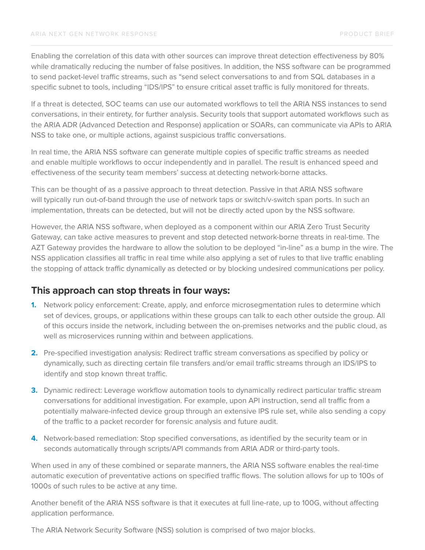Enabling the correlation of this data with other sources can improve threat detection effectiveness by 80% while dramatically reducing the number of false positives. In addition, the NSS software can be programmed to send packet-level traffic streams, such as "send select conversations to and from SQL databases in a specific subnet to tools, including "IDS/IPS" to ensure critical asset traffic is fully monitored for threats.

If a threat is detected, SOC teams can use our automated workflows to tell the ARIA NSS instances to send conversations, in their entirety, for further analysis. Security tools that support automated workflows such as the ARIA ADR (Advanced Detection and Response) application or SOARs, can communicate via APIs to ARIA NSS to take one, or multiple actions, against suspicious traffic conversations.

In real time, the ARIA NSS software can generate multiple copies of specific traffic streams as needed and enable multiple workflows to occur independently and in parallel. The result is enhanced speed and effectiveness of the security team members' success at detecting network-borne attacks.

This can be thought of as a passive approach to threat detection. Passive in that ARIA NSS software will typically run out-of-band through the use of network taps or switch/v-switch span ports. In such an implementation, threats can be detected, but will not be directly acted upon by the NSS software.

However, the ARIA NSS software, when deployed as a component within our ARIA Zero Trust Security Gateway, can take active measures to prevent and stop detected network-borne threats in real-time. The AZT Gateway provides the hardware to allow the solution to be deployed "in-line" as a bump in the wire. The NSS application classifies all traffic in real time while also applying a set of rules to that live traffic enabling the stopping of attack traffic dynamically as detected or by blocking undesired communications per policy.

## **This approach can stop threats in four ways:**

- **1.** Network policy enforcement: Create, apply, and enforce microsegmentation rules to determine which set of devices, groups, or applications within these groups can talk to each other outside the group. All of this occurs inside the network, including between the on-premises networks and the public cloud, as well as microservices running within and between applications.
- **2.** Pre-specified investigation analysis: Redirect traffic stream conversations as specified by policy or dynamically, such as directing certain file transfers and/or email traffic streams through an IDS/IPS to identify and stop known threat traffic.
- **3.** Dynamic redirect: Leverage workflow automation tools to dynamically redirect particular traffic stream conversations for additional investigation. For example, upon API instruction, send all traffic from a potentially malware-infected device group through an extensive IPS rule set, while also sending a copy of the traffic to a packet recorder for forensic analysis and future audit.
- **4.** Network-based remediation: Stop specified conversations, as identified by the security team or in seconds automatically through scripts/API commands from ARIA ADR or third-party tools.

When used in any of these combined or separate manners, the ARIA NSS software enables the real-time automatic execution of preventative actions on specified traffic flows. The solution allows for up to 100s of 1000s of such rules to be active at any time.

Another benefit of the ARIA NSS software is that it executes at full line-rate, up to 100G, without affecting application performance.

The ARIA Network Security Software (NSS) solution is comprised of two major blocks.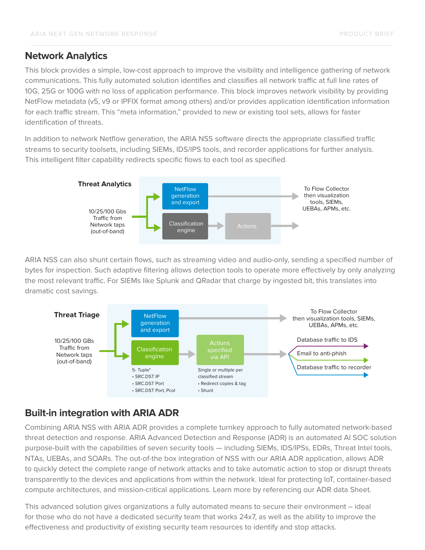## **Network Analytics**

This block provides a simple, low-cost approach to improve the visibility and intelligence gathering of network communications. This fully automated solution identifies and classifies all network traffic at full line rates of 10G, 25G or 100G with no loss of application performance. This block improves network visibility by providing NetFlow metadata (v5, v9 or IPFIX format among others) and/or provides application identification information for each traffic stream. This "meta information," provided to new or existing tool sets, allows for faster identification of threats.

In addition to network Netflow generation, the ARIA NSS software directs the appropriate classified traffic streams to security toolsets, including SIEMs, IDS/IPS tools, and recorder applications for further analysis. This intelligent filter capability redirects specific flows to each tool as specified.



ARIA NSS can also shunt certain flows, such as streaming video and audio-only, sending a specified number of bytes for inspection. Such adaptive filtering allows detection tools to operate more effectively by only analyzing the most relevant traffic. For SIEMs like Splunk and QRadar that charge by ingested bit, this translates into dramatic cost savings.



# **Built-in integration with ARIA ADR**

Combining ARIA NSS with ARIA ADR provides a complete turnkey approach to fully automated network-based threat detection and response. ARIA Advanced Detection and Response (ADR) is an automated AI SOC solution purpose-built with the capabilities of seven security tools — including SIEMs, IDS/IPSs, EDRs, Threat Intel tools, NTAs, UEBAs, and SOARs. The out-of-the box integration of NSS with our ARIA ADR application, allows ADR to quickly detect the complete range of network attacks and to take automatic action to stop or disrupt threats transparently to the devices and applications from within the network. Ideal for protecting IoT, container-based compute architectures, and mission-critical applications. Learn more by referencing our ADR data Sheet.

This advanced solution gives organizations a fully automated means to secure their environment – ideal for those who do not have a dedicated security team that works 24x7, as well as the ability to improve the effectiveness and productivity of existing security team resources to identify and stop attacks.